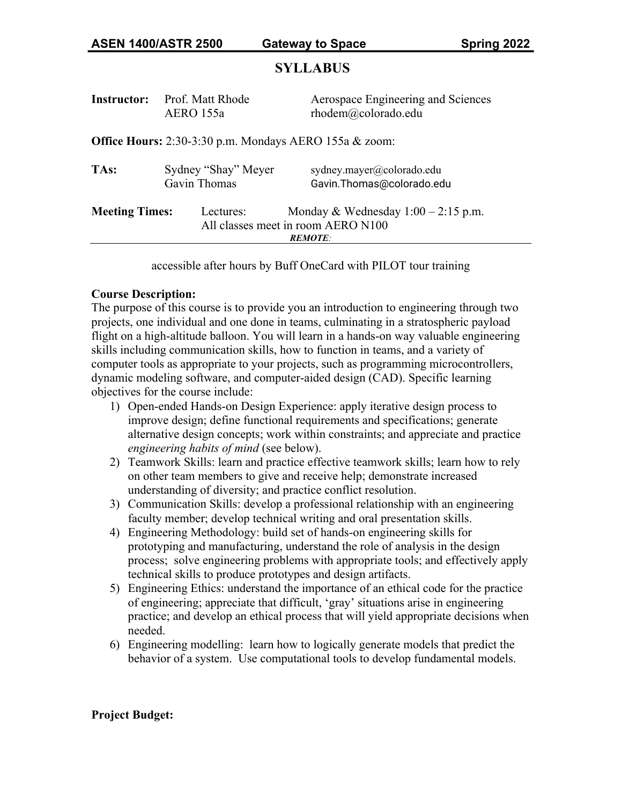# **SYLLABUS**

| <b>Instructor:</b>    | Prof. Matt Rhode<br>AERO 155a                          | Aerospace Engineering and Sciences<br>rhodem@colorado.edu |
|-----------------------|--------------------------------------------------------|-----------------------------------------------------------|
|                       | Office Hours: 2:30-3:30 p.m. Mondays AERO 155a & zoom: |                                                           |
| TAs:                  | Sydney "Shay" Meyer<br>Gavin Thomas                    | sydney.mayer@colorado.edu<br>Gavin.Thomas@colorado.edu    |
| <b>Meeting Times:</b> | Lectures:<br>All classes meet in room AERO N100        | Monday & Wednesday $1:00 - 2:15$ p.m.<br><b>REMOTE:</b>   |
|                       |                                                        |                                                           |

accessible after hours by Buff OneCard with PILOT tour training

# **Course Description:**

The purpose of this course is to provide you an introduction to engineering through two projects, one individual and one done in teams, culminating in a stratospheric payload flight on a high-altitude balloon. You will learn in a hands-on way valuable engineering skills including communication skills, how to function in teams, and a variety of computer tools as appropriate to your projects, such as programming microcontrollers, dynamic modeling software, and computer-aided design (CAD). Specific learning objectives for the course include:

- 1) Open-ended Hands-on Design Experience: apply iterative design process to improve design; define functional requirements and specifications; generate alternative design concepts; work within constraints; and appreciate and practice *engineering habits of mind* (see below).
- 2) Teamwork Skills: learn and practice effective teamwork skills; learn how to rely on other team members to give and receive help; demonstrate increased understanding of diversity; and practice conflict resolution.
- 3) Communication Skills: develop a professional relationship with an engineering faculty member; develop technical writing and oral presentation skills.
- 4) Engineering Methodology: build set of hands-on engineering skills for prototyping and manufacturing, understand the role of analysis in the design process; solve engineering problems with appropriate tools; and effectively apply technical skills to produce prototypes and design artifacts.
- 5) Engineering Ethics: understand the importance of an ethical code for the practice of engineering; appreciate that difficult, 'gray' situations arise in engineering practice; and develop an ethical process that will yield appropriate decisions when needed.
- 6) Engineering modelling: learn how to logically generate models that predict the behavior of a system. Use computational tools to develop fundamental models.

# **Project Budget:**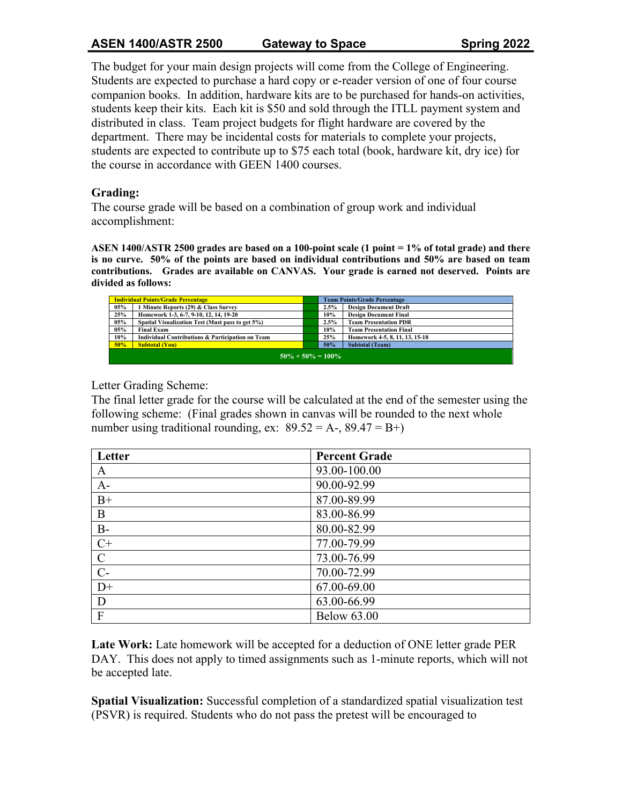# **ASEN 1400/ASTR 2500 Gateway to Space Spring 2022**

The budget for your main design projects will come from the College of Engineering. Students are expected to purchase a hard copy or e-reader version of one of four course companion books. In addition, hardware kits are to be purchased for hands-on activities, students keep their kits. Each kit is \$50 and sold through the ITLL payment system and distributed in class. Team project budgets for flight hardware are covered by the department. There may be incidental costs for materials to complete your projects, students are expected to contribute up to \$75 each total (book, hardware kit, dry ice) for the course in accordance with GEEN 1400 courses.

# **Grading:**

The course grade will be based on a combination of group work and individual accomplishment:

**ASEN 1400/ASTR 2500 grades are based on a 100-point scale (1 point = 1% of total grade) and there is no curve. 50% of the points are based on individual contributions and 50% are based on team contributions. Grades are available on CANVAS. Your grade is earned not deserved. Points are divided as follows:** 

| <b>Individual Points/Grade Percentage</b> |                                                  |  | <b>Team Points/Grade Percentage</b> |                                |  |
|-------------------------------------------|--------------------------------------------------|--|-------------------------------------|--------------------------------|--|
| 05%                                       | 1 Minute Reports (29) & Class Survey             |  | 2.5%                                | <b>Design Document Draft</b>   |  |
| 25%                                       | Homework 1-3, 6-7, 9-10, 12, 14, 19-20           |  | 10%                                 | <b>Design Document Final</b>   |  |
| 05%                                       | Spatial Visualization Test (Must pass to get 5%) |  | 2.5%                                | <b>Team Presentation PDR</b>   |  |
| 05%                                       | <b>Final Exam</b>                                |  | 10%                                 | <b>Team Presentation Final</b> |  |
| 10%                                       | Individual Contributions & Participation on Team |  | 25%                                 | Homework 4-5, 8, 11, 13, 15-18 |  |
| 50%                                       | <b>Subtotal (You)</b>                            |  | 50%                                 | <b>Subtotal (Team)</b>         |  |
| $50\% + 50\% = 100\%$                     |                                                  |  |                                     |                                |  |

# Letter Grading Scheme:

The final letter grade for the course will be calculated at the end of the semester using the following scheme: (Final grades shown in canvas will be rounded to the next whole number using traditional rounding, ex:  $89.52 = A -$ ,  $89.47 = B +$ )

| Letter         | <b>Percent Grade</b> |
|----------------|----------------------|
| A              | 93.00-100.00         |
| $A-$           | 90.00-92.99          |
| $B+$           | 87.00-89.99          |
| B              | 83.00-86.99          |
| $B-$           | 80.00-82.99          |
| $C+$           | 77.00-79.99          |
| $\mathcal{C}$  | 73.00-76.99          |
| $C-$           | 70.00-72.99          |
| $D+$           | 67.00-69.00          |
| D              | 63.00-66.99          |
| $\overline{F}$ | <b>Below 63.00</b>   |

**Late Work:** Late homework will be accepted for a deduction of ONE letter grade PER DAY. This does not apply to timed assignments such as 1-minute reports, which will not be accepted late.

**Spatial Visualization:** Successful completion of a standardized spatial visualization test (PSVR) is required. Students who do not pass the pretest will be encouraged to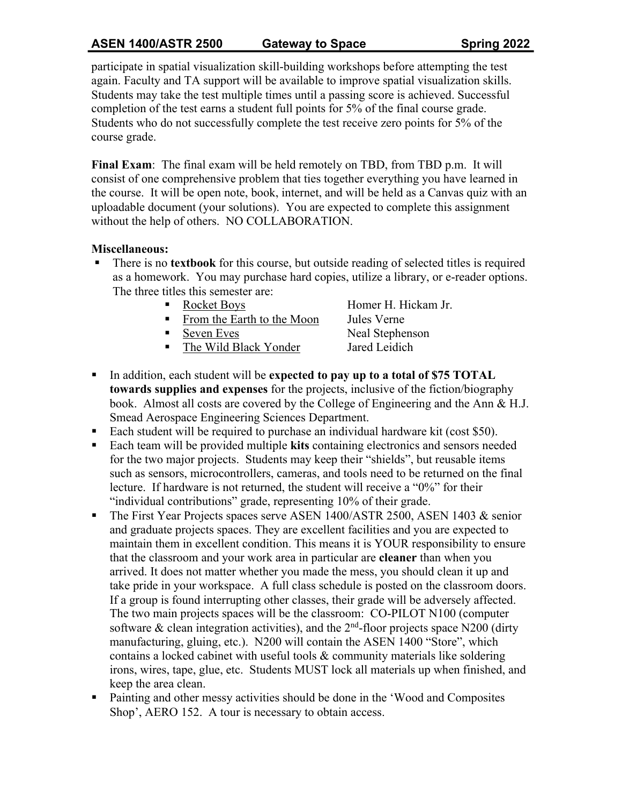# **ASEN 1400/ASTR 2500 Gateway to Space Spring 2022**

participate in spatial visualization skill-building workshops before attempting the test again. Faculty and TA support will be available to improve spatial visualization skills. Students may take the test multiple times until a passing score is achieved. Successful completion of the test earns a student full points for 5% of the final course grade. Students who do not successfully complete the test receive zero points for 5% of the course grade.

**Final Exam**: The final exam will be held remotely on TBD, from TBD p.m. It will consist of one comprehensive problem that ties together everything you have learned in the course. It will be open note, book, internet, and will be held as a Canvas quiz with an uploadable document (your solutions). You are expected to complete this assignment without the help of others. NO COLLABORATION.

# **Miscellaneous:**

- There is no **textbook** for this course, but outside reading of selected titles is required as a homework. You may purchase hard copies, utilize a library, or e-reader options. The three titles this semester are:
	- Rocket Boys Homer H. Hickam Jr.
	- From the Earth to the Moon Jules Verne
	-

Seven Eves Neal Stephenson ■ The Wild Black Yonder Jared Leidich

- § In addition, each student will be **expected to pay up to a total of \$75 TOTAL towards supplies and expenses** for the projects, inclusive of the fiction/biography book. Almost all costs are covered by the College of Engineering and the Ann & H.J. Smead Aerospace Engineering Sciences Department.
- Each student will be required to purchase an individual hardware kit (cost \$50).
- Each team will be provided multiple **kits** containing electronics and sensors needed for the two major projects. Students may keep their "shields", but reusable items such as sensors, microcontrollers, cameras, and tools need to be returned on the final lecture. If hardware is not returned, the student will receive a "0%" for their "individual contributions" grade, representing 10% of their grade.
- The First Year Projects spaces serve ASEN 1400/ASTR 2500, ASEN 1403 & senior and graduate projects spaces. They are excellent facilities and you are expected to maintain them in excellent condition. This means it is YOUR responsibility to ensure that the classroom and your work area in particular are **cleaner** than when you arrived. It does not matter whether you made the mess, you should clean it up and take pride in your workspace. A full class schedule is posted on the classroom doors. If a group is found interrupting other classes, their grade will be adversely affected. The two main projects spaces will be the classroom: CO-PILOT N100 (computer software & clean integration activities), and the  $2<sup>nd</sup>$ -floor projects space N200 (dirty manufacturing, gluing, etc.). N200 will contain the ASEN 1400 "Store", which contains a locked cabinet with useful tools & community materials like soldering irons, wires, tape, glue, etc. Students MUST lock all materials up when finished, and keep the area clean.
- Painting and other messy activities should be done in the 'Wood and Composites Shop', AERO 152. A tour is necessary to obtain access.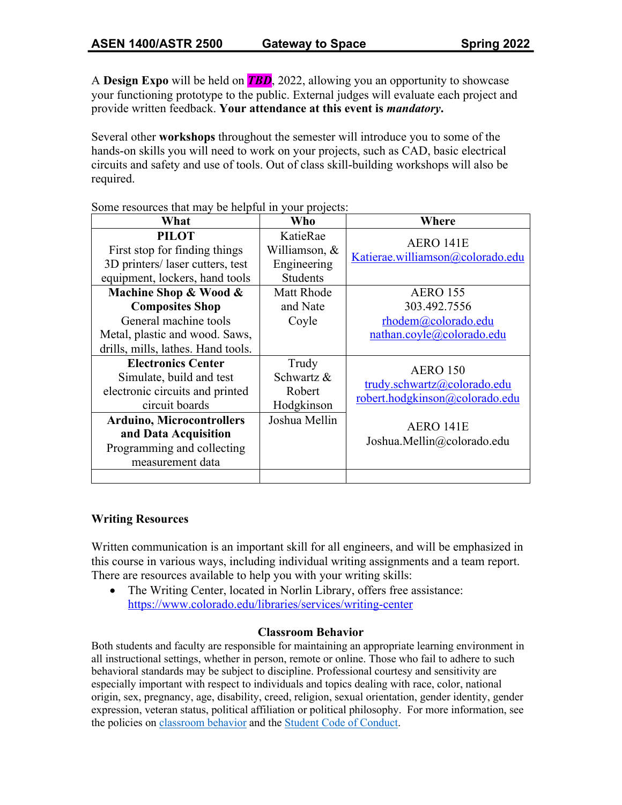A **Design Expo** will be held on *TBD*, 2022, allowing you an opportunity to showcase your functioning prototype to the public. External judges will evaluate each project and provide written feedback. **Your attendance at this event is** *mandatory***.**

Several other **workshops** throughout the semester will introduce you to some of the hands-on skills you will need to work on your projects, such as CAD, basic electrical circuits and safety and use of tools. Out of class skill-building workshops will also be required.

| What                                                                                                                                                                                                                     | Who                                                          | Where                                                                                                                       |  |
|--------------------------------------------------------------------------------------------------------------------------------------------------------------------------------------------------------------------------|--------------------------------------------------------------|-----------------------------------------------------------------------------------------------------------------------------|--|
| <b>PILOT</b><br>First stop for finding things                                                                                                                                                                            | KatieRae<br>Williamson, &                                    | AERO 141E                                                                                                                   |  |
| 3D printers/laser cutters, test<br>equipment, lockers, hand tools                                                                                                                                                        | Engineering<br><b>Students</b>                               | Katierae.williamson@colorado.edu                                                                                            |  |
| Machine Shop & Wood &                                                                                                                                                                                                    | Matt Rhode                                                   | <b>AERO 155</b>                                                                                                             |  |
| <b>Composites Shop</b><br>General machine tools<br>Metal, plastic and wood. Saws,<br>drills, mills, lathes. Hand tools.                                                                                                  | and Nate<br>Coyle                                            | 303.492.7556<br>rhodem@colorado.edu<br>nathan.coyle@colorado.edu                                                            |  |
| <b>Electronics Center</b><br>Simulate, build and test<br>electronic circuits and printed<br>circuit boards<br><b>Arduino, Microcontrollers</b><br>and Data Acquisition<br>Programming and collecting<br>measurement data | Trudy<br>Schwartz &<br>Robert<br>Hodgkinson<br>Joshua Mellin | <b>AERO 150</b><br>trudy.schwartz@colorado.edu<br>robert.hodgkinson@colorado.edu<br>AERO 141E<br>Joshua.Mellin@colorado.edu |  |
|                                                                                                                                                                                                                          |                                                              |                                                                                                                             |  |

Some resources that may be helpful in your projects:

# **Writing Resources**

Written communication is an important skill for all engineers, and will be emphasized in this course in various ways, including individual writing assignments and a team report. There are resources available to help you with your writing skills:

• The Writing Center, located in Norlin Library, offers free assistance: https://www.colorado.edu/libraries/services/writing-center

### **Classroom Behavior**

Both students and faculty are responsible for maintaining an appropriate learning environment in all instructional settings, whether in person, remote or online. Those who fail to adhere to such behavioral standards may be subject to discipline. Professional courtesy and sensitivity are especially important with respect to individuals and topics dealing with race, color, national origin, sex, pregnancy, age, disability, creed, religion, sexual orientation, gender identity, gender expression, veteran status, political affiliation or political philosophy. For more information, see the policies on classroom behavior and the Student Code of Conduct.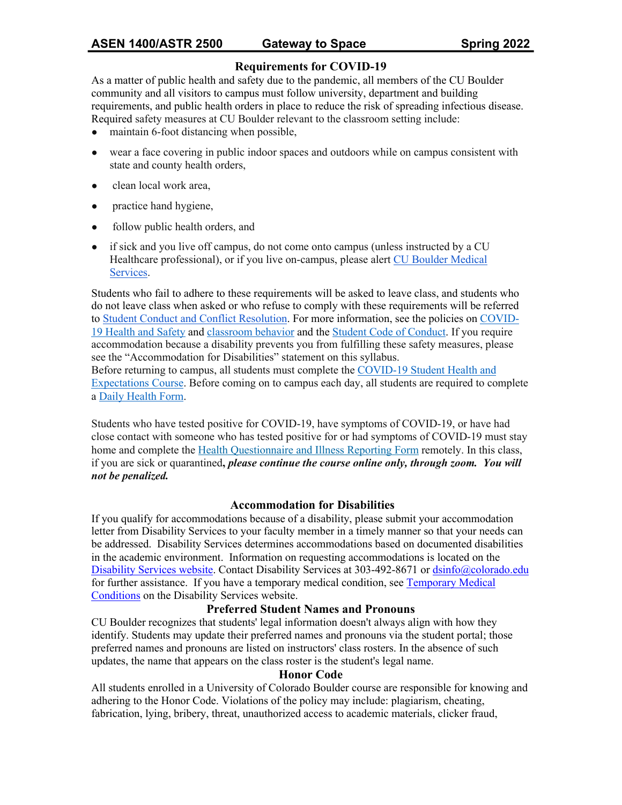# **Requirements for COVID-19**

As a matter of public health and safety due to the pandemic, all members of the CU Boulder community and all visitors to campus must follow university, department and building requirements, and public health orders in place to reduce the risk of spreading infectious disease. Required safety measures at CU Boulder relevant to the classroom setting include:

- maintain 6-foot distancing when possible,
- wear a face covering in public indoor spaces and outdoors while on campus consistent with state and county health orders,
- clean local work area,
- practice hand hygiene,
- follow public health orders, and
- if sick and you live off campus, do not come onto campus (unless instructed by a CU Healthcare professional), or if you live on-campus, please alert CU Boulder Medical Services.

Students who fail to adhere to these requirements will be asked to leave class, and students who do not leave class when asked or who refuse to comply with these requirements will be referred to Student Conduct and Conflict Resolution. For more information, see the policies on COVID-19 Health and Safety and classroom behavior and the Student Code of Conduct. If you require accommodation because a disability prevents you from fulfilling these safety measures, please see the "Accommodation for Disabilities" statement on this syllabus.

Before returning to campus, all students must complete the COVID-19 Student Health and Expectations Course. Before coming on to campus each day, all students are required to complete a Daily Health Form.

Students who have tested positive for COVID-19, have symptoms of COVID-19, or have had close contact with someone who has tested positive for or had symptoms of COVID-19 must stay home and complete the Health Questionnaire and Illness Reporting Form remotely. In this class, if you are sick or quarantined**,** *please continue the course online only, through zoom. You will not be penalized.*

#### **Accommodation for Disabilities**

If you qualify for accommodations because of a disability, please submit your accommodation letter from Disability Services to your faculty member in a timely manner so that your needs can be addressed. Disability Services determines accommodations based on documented disabilities in the academic environment. Information on requesting accommodations is located on the Disability Services website. Contact Disability Services at 303-492-8671 or dsinfo@colorado.edu for further assistance. If you have a temporary medical condition, see Temporary Medical Conditions on the Disability Services website.

#### **Preferred Student Names and Pronouns**

CU Boulder recognizes that students' legal information doesn't always align with how they identify. Students may update their preferred names and pronouns via the student portal; those preferred names and pronouns are listed on instructors' class rosters. In the absence of such updates, the name that appears on the class roster is the student's legal name.

#### **Honor Code**

All students enrolled in a University of Colorado Boulder course are responsible for knowing and adhering to the Honor Code. Violations of the policy may include: plagiarism, cheating, fabrication, lying, bribery, threat, unauthorized access to academic materials, clicker fraud,